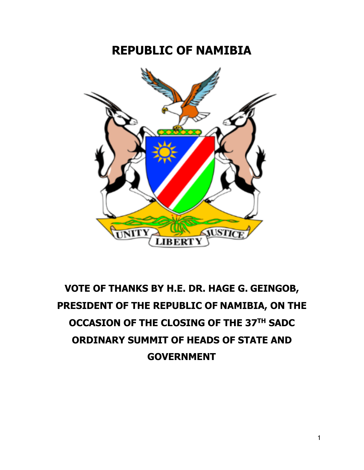## **REPUBLIC OF NAMIBIA**



## **VOTE OF THANKS BY H.E. DR. HAGE G. GEINGOB, PRESIDENT OF THE REPUBLIC OF NAMIBIA, ON THE OCCASION OF THE CLOSING OF THE 37TH SADC ORDINARY SUMMIT OF HEADS OF STATE AND GOVERNMENT**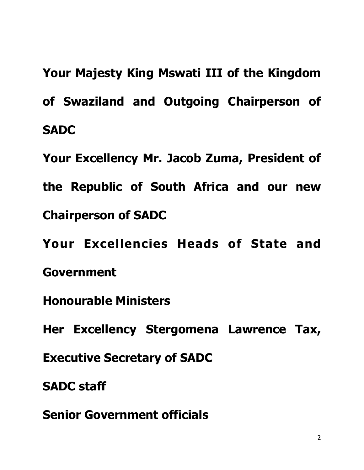**Your Majesty King Mswati III of the Kingdom of Swaziland and Outgoing Chairperson of SADC** 

**Your Excellency Mr. Jacob Zuma, President of the Republic of South Africa and our new Chairperson of SADC** 

**Your Excellencies Heads of State and Government** 

**Honourable Ministers** 

**Her Excellency Stergomena Lawrence Tax,** 

**Executive Secretary of SADC** 

**SADC staff** 

**Senior Government officials**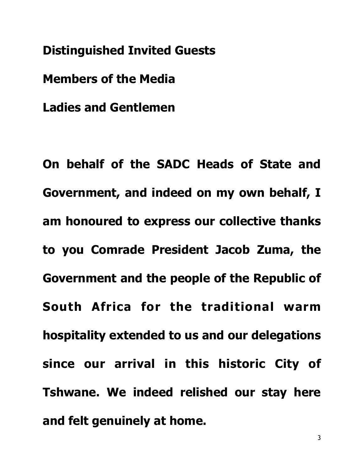**Distinguished Invited Guests** 

**Members of the Media** 

**Ladies and Gentlemen** 

**On behalf of the SADC Heads of State and Government, and indeed on my own behalf, I am honoured to express our collective thanks to you Comrade President Jacob Zuma, the Government and the people of the Republic of South Africa for the traditional warm hospitality extended to us and our delegations since our arrival in this historic City of Tshwane. We indeed relished our stay here and felt genuinely at home.**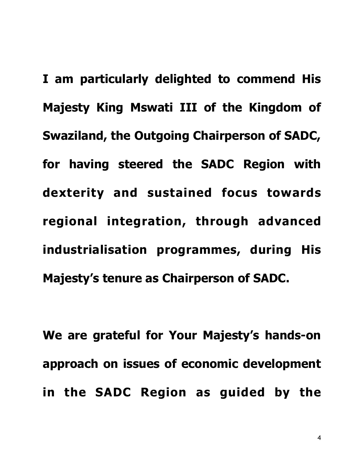**I am particularly delighted to commend His Majesty King Mswati III of the Kingdom of Swaziland, the Outgoing Chairperson of SADC, for having steered the SADC Region with dexterity and sustained focus towards regional integration, through advanced industrialisation programmes, during His Majesty's tenure as Chairperson of SADC.** 

**We are grateful for Your Majesty's hands-on approach on issues of economic development in the SADC Region as guided by the** 

4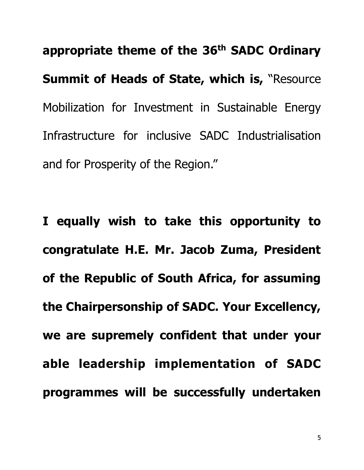**appropriate theme of the 36th SADC Ordinary Summit of Heads of State, which is,** "Resource Mobilization for Investment in Sustainable Energy Infrastructure for inclusive SADC Industrialisation and for Prosperity of the Region."

**I equally wish to take this opportunity to congratulate H.E. Mr. Jacob Zuma, President of the Republic of South Africa, for assuming the Chairpersonship of SADC. Your Excellency, we are supremely confident that under your able leadership implementation of SADC programmes will be successfully undertaken**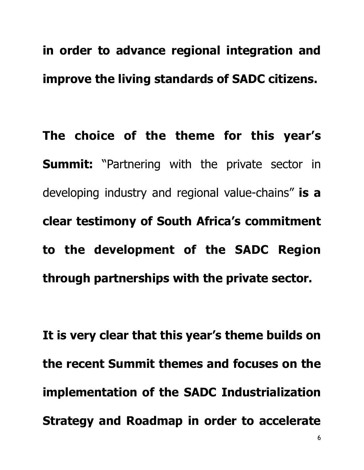## **in order to advance regional integration and improve the living standards of SADC citizens.**

**The choice of the theme for this year's Summit:** "Partnering with the private sector in developing industry and regional value-chains" **is a clear testimony of South Africa's commitment to the development of the SADC Region through partnerships with the private sector.** 

**It is very clear that this year's theme builds on the recent Summit themes and focuses on the implementation of the SADC Industrialization Strategy and Roadmap in order to accelerate**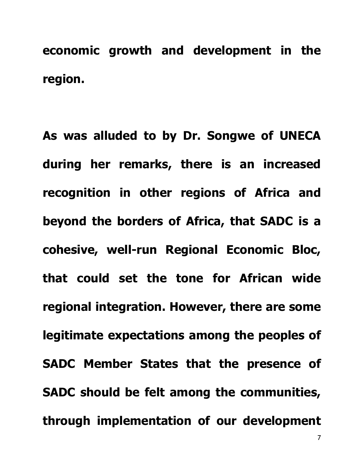**economic growth and development in the region.** 

**As was alluded to by Dr. Songwe of UNECA during her remarks, there is an increased recognition in other regions of Africa and beyond the borders of Africa, that SADC is a cohesive, well-run Regional Economic Bloc, that could set the tone for African wide regional integration. However, there are some legitimate expectations among the peoples of SADC Member States that the presence of SADC should be felt among the communities, through implementation of our development** 

7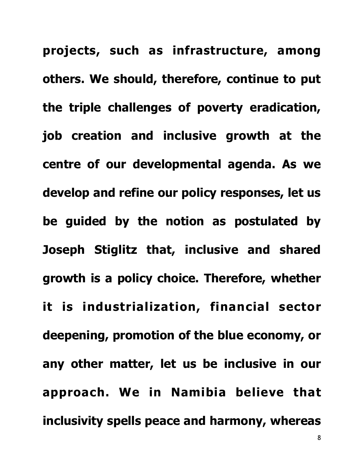**projects, such as infrastructure, among others. We should, therefore, continue to put the triple challenges of poverty eradication, job creation and inclusive growth at the centre of our developmental agenda. As we develop and refine our policy responses, let us be guided by the notion as postulated by Joseph Stiglitz that, inclusive and shared growth is a policy choice. Therefore, whether it is industrialization, financial sector deepening, promotion of the blue economy, or any other matter, let us be inclusive in our approach. We in Namibia believe that inclusivity spells peace and harmony, whereas**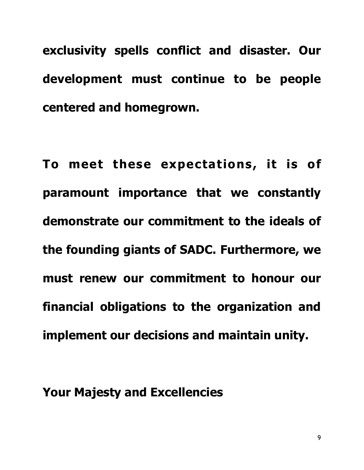**exclusivity spells conflict and disaster. Our development must continue to be people centered and homegrown.** 

**To meet these expectations, it is of paramount importance that we constantly demonstrate our commitment to the ideals of the founding giants of SADC. Furthermore, we must renew our commitment to honour our financial obligations to the organization and implement our decisions and maintain unity.** 

**Your Majesty and Excellencies**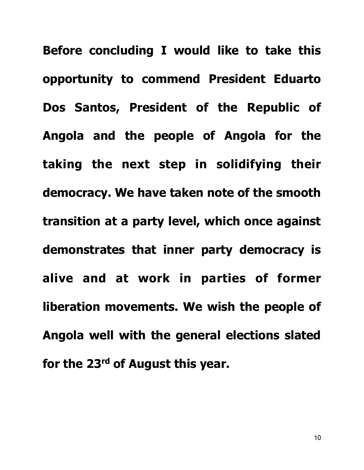**Before concluding I would like to take this opportunity to commend President Eduarto Dos Santos, President of the Republic of Angola and the people of Angola for the taking the next step in solidifying their democracy. We have taken note of the smooth transition at a party level, which once against demonstrates that inner party democracy is alive and at work in parties of former liberation movements. We wish the people of Angola well with the general elections slated for the 23rd of August this year.**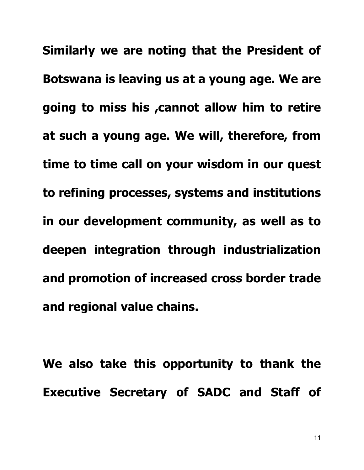**Similarly we are noting that the President of Botswana is leaving us at a young age. We are going to miss his ,cannot allow him to retire at such a young age. We will, therefore, from time to time call on your wisdom in our quest to refining processes, systems and institutions in our development community, as well as to deepen integration through industrialization and promotion of increased cross border trade and regional value chains.** 

**We also take this opportunity to thank the Executive Secretary of SADC and Staff of**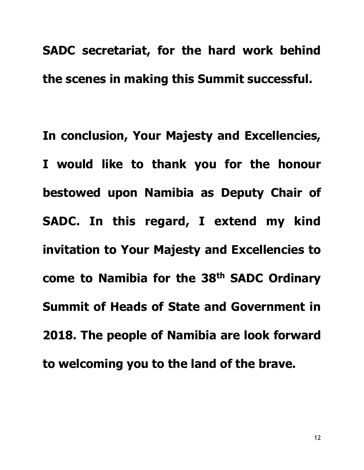**SADC secretariat, for the hard work behind the scenes in making this Summit successful.** 

**In conclusion, Your Majesty and Excellencies, I would like to thank you for the honour bestowed upon Namibia as Deputy Chair of SADC. In this regard, I extend my kind invitation to Your Majesty and Excellencies to come to Namibia for the 38th SADC Ordinary Summit of Heads of State and Government in 2018. The people of Namibia are look forward to welcoming you to the land of the brave.**